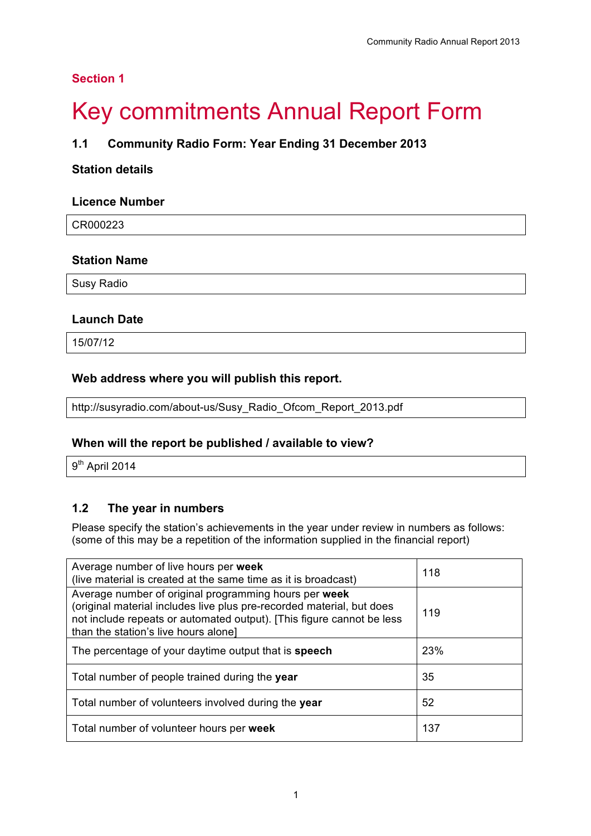## **Section 1**

# **Key commitments Annual Report Form**

## **1.1 Community Radio Form: Year Ending 31 December 2013**

### **Station details**

#### **Licence Number**

CR000223

#### **Station Name**

Susy Radio

#### **Launch Date**

15/07/12

#### **Web address where you will publish this report.**

http://susyradio.com/about-us/Susy\_Radio\_Ofcom\_Report\_2013.pdf

#### **When will the report be published / available to view?**

9<sup>th</sup> April 2014

### **1.2 The year in numbers**

Please specify the station's achievements in the year under review in numbers as follows: (some of this may be a repetition of the information supplied in the financial report)

| Average number of live hours per week<br>(live material is created at the same time as it is broadcast)                                                                                                                                         | 118 |
|-------------------------------------------------------------------------------------------------------------------------------------------------------------------------------------------------------------------------------------------------|-----|
| Average number of original programming hours per week<br>(original material includes live plus pre-recorded material, but does<br>not include repeats or automated output). [This figure cannot be less<br>than the station's live hours alone] | 119 |
| The percentage of your daytime output that is speech                                                                                                                                                                                            | 23% |
| Total number of people trained during the year                                                                                                                                                                                                  | 35  |
| 52<br>Total number of volunteers involved during the year                                                                                                                                                                                       |     |
| Total number of volunteer hours per week                                                                                                                                                                                                        | 137 |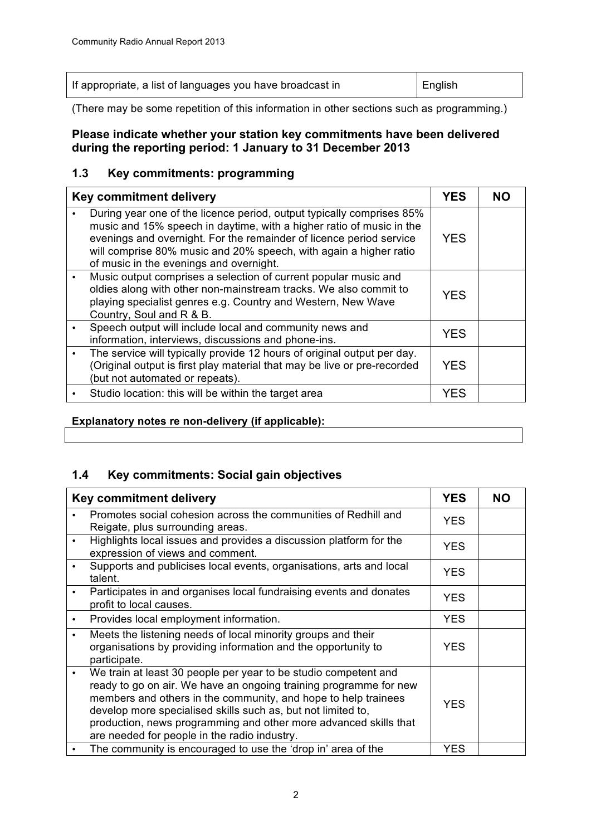| If appropriate, a list of languages you have broadcast in | English |
|-----------------------------------------------------------|---------|
|-----------------------------------------------------------|---------|

(There may be some repetition of this information in other sections such as programming.)

## **Please indicate whether your station key commitments have been delivered during the reporting period: 1 January to 31 December 2013**

## **1.3 Key commitments: programming**

| Key commitment delivery |                                                                                                                                                                                                                                                                                                                                      | <b>YES</b> |  |
|-------------------------|--------------------------------------------------------------------------------------------------------------------------------------------------------------------------------------------------------------------------------------------------------------------------------------------------------------------------------------|------------|--|
|                         | During year one of the licence period, output typically comprises 85%<br>music and 15% speech in daytime, with a higher ratio of music in the<br>evenings and overnight. For the remainder of licence period service<br>will comprise 80% music and 20% speech, with again a higher ratio<br>of music in the evenings and overnight. | <b>YES</b> |  |
|                         | Music output comprises a selection of current popular music and<br>oldies along with other non-mainstream tracks. We also commit to<br>playing specialist genres e.g. Country and Western, New Wave<br>Country, Soul and R & B.                                                                                                      | <b>YES</b> |  |
|                         | Speech output will include local and community news and<br>information, interviews, discussions and phone-ins.                                                                                                                                                                                                                       | <b>YES</b> |  |
|                         | The service will typically provide 12 hours of original output per day.<br>(Original output is first play material that may be live or pre-recorded<br>(but not automated or repeats).                                                                                                                                               | <b>YES</b> |  |
|                         | Studio location: this will be within the target area                                                                                                                                                                                                                                                                                 | YES        |  |

#### **Explanatory notes re non-delivery (if applicable):**

## **1.4 Key commitments: Social gain objectives**

| Key commitment delivery |                                                                                                                                                                                                                                                                                                                                                                                            | <b>YES</b> | <b>NO</b> |
|-------------------------|--------------------------------------------------------------------------------------------------------------------------------------------------------------------------------------------------------------------------------------------------------------------------------------------------------------------------------------------------------------------------------------------|------------|-----------|
|                         | Promotes social cohesion across the communities of Redhill and<br>Reigate, plus surrounding areas.                                                                                                                                                                                                                                                                                         | <b>YES</b> |           |
|                         | Highlights local issues and provides a discussion platform for the<br>expression of views and comment.                                                                                                                                                                                                                                                                                     | <b>YES</b> |           |
|                         | Supports and publicises local events, organisations, arts and local<br>talent.                                                                                                                                                                                                                                                                                                             | <b>YES</b> |           |
|                         | Participates in and organises local fundraising events and donates<br>profit to local causes.                                                                                                                                                                                                                                                                                              | <b>YES</b> |           |
|                         | Provides local employment information.                                                                                                                                                                                                                                                                                                                                                     | <b>YES</b> |           |
|                         | Meets the listening needs of local minority groups and their<br>organisations by providing information and the opportunity to<br>participate.                                                                                                                                                                                                                                              | <b>YES</b> |           |
|                         | We train at least 30 people per year to be studio competent and<br>ready to go on air. We have an ongoing training programme for new<br>members and others in the community, and hope to help trainees<br>develop more specialised skills such as, but not limited to,<br>production, news programming and other more advanced skills that<br>are needed for people in the radio industry. | <b>YES</b> |           |
|                         | The community is encouraged to use the 'drop in' area of the                                                                                                                                                                                                                                                                                                                               | <b>YES</b> |           |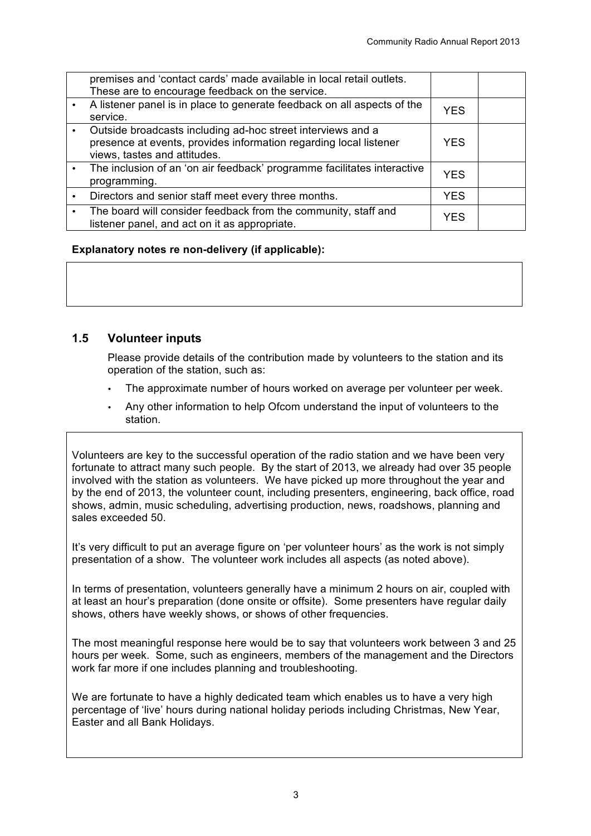| premises and 'contact cards' made available in local retail outlets.<br>These are to encourage feedback on the service.                                          |            |  |
|------------------------------------------------------------------------------------------------------------------------------------------------------------------|------------|--|
| A listener panel is in place to generate feedback on all aspects of the<br>service.                                                                              | <b>YES</b> |  |
| Outside broadcasts including ad-hoc street interviews and a<br>presence at events, provides information regarding local listener<br>views, tastes and attitudes. | <b>YES</b> |  |
| The inclusion of an 'on air feedback' programme facilitates interactive<br>programming.                                                                          | <b>YES</b> |  |
| Directors and senior staff meet every three months.                                                                                                              | <b>YES</b> |  |
| The board will consider feedback from the community, staff and<br>listener panel, and act on it as appropriate.                                                  | <b>YES</b> |  |

#### **Explanatory notes re non-delivery (if applicable):**

### **1.5 Volunteer inputs**

Please provide details of the contribution made by volunteers to the station and its operation of the station, such as:

- The approximate number of hours worked on average per volunteer per week.
- Any other information to help Ofcom understand the input of volunteers to the station.

Volunteers are key to the successful operation of the radio station and we have been very fortunate to attract many such people. By the start of 2013, we already had over 35 people involved with the station as volunteers. We have picked up more throughout the year and by the end of 2013, the volunteer count, including presenters, engineering, back office, road shows, admin, music scheduling, advertising production, news, roadshows, planning and sales exceeded 50.

It's very difficult to put an average figure on 'per volunteer hours' as the work is not simply presentation of a show. The volunteer work includes all aspects (as noted above).

In terms of presentation, volunteers generally have a minimum 2 hours on air, coupled with at least an hour's preparation (done onsite or offsite). Some presenters have regular daily shows, others have weekly shows, or shows of other frequencies.

The most meaningful response here would be to say that volunteers work between 3 and 25 hours per week. Some, such as engineers, members of the management and the Directors work far more if one includes planning and troubleshooting.

We are fortunate to have a highly dedicated team which enables us to have a very high percentage of 'live' hours during national holiday periods including Christmas, New Year, Easter and all Bank Holidays.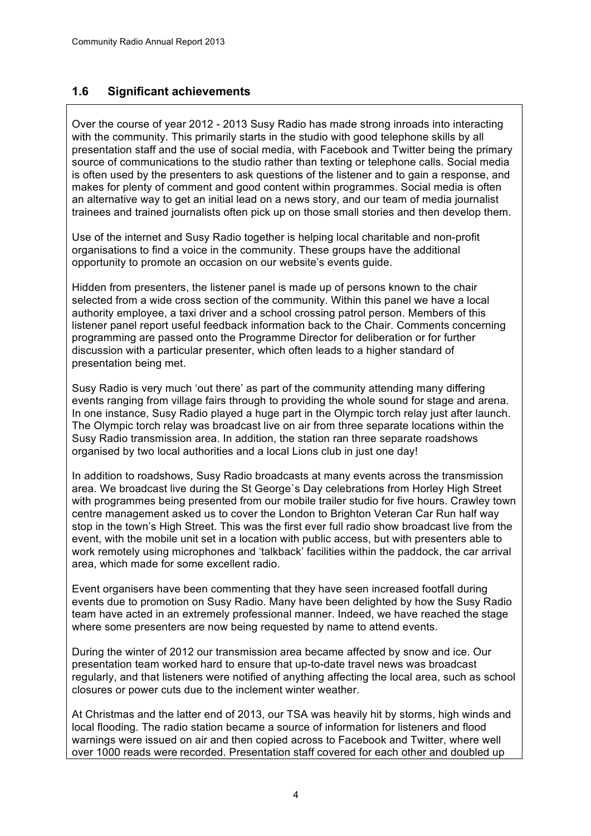## **1.6 Significant achievements**

Over the course of year 2012 - 2013 Susy Radio has made strong inroads into interacting with the community. This primarily starts in the studio with good telephone skills by all presentation staff and the use of social media, with Facebook and Twitter being the primary source of communications to the studio rather than texting or telephone calls. Social media is often used by the presenters to ask questions of the listener and to gain a response, and makes for plenty of comment and good content within programmes. Social media is often an alternative way to get an initial lead on a news story, and our team of media journalist trainees and trained journalists often pick up on those small stories and then develop them.

Use of the internet and Susy Radio together is helping local charitable and non-profit organisations to find a voice in the community. These groups have the additional opportunity to promote an occasion on our website's events guide.

Hidden from presenters, the listener panel is made up of persons known to the chair selected from a wide cross section of the community. Within this panel we have a local authority employee, a taxi driver and a school crossing patrol person. Members of this listener panel report useful feedback information back to the Chair. Comments concerning programming are passed onto the Programme Director for deliberation or for further discussion with a particular presenter, which often leads to a higher standard of presentation being met.

Susy Radio is very much 'out there' as part of the community attending many differing events ranging from village fairs through to providing the whole sound for stage and arena. In one instance, Susy Radio played a huge part in the Olympic torch relay just after launch. The Olympic torch relay was broadcast live on air from three separate locations within the Susy Radio transmission area. In addition, the station ran three separate roadshows organised by two local authorities and a local Lions club in just one day!

In addition to roadshows, Susy Radio broadcasts at many events across the transmission area. We broadcast live during the St George`s Day celebrations from Horley High Street with programmes being presented from our mobile trailer studio for five hours. Crawley town centre management asked us to cover the London to Brighton Veteran Car Run half way stop in the town's High Street. This was the first ever full radio show broadcast live from the event, with the mobile unit set in a location with public access, but with presenters able to work remotely using microphones and 'talkback' facilities within the paddock, the car arrival area, which made for some excellent radio.

Event organisers have been commenting that they have seen increased footfall during events due to promotion on Susy Radio. Many have been delighted by how the Susy Radio team have acted in an extremely professional manner. Indeed, we have reached the stage where some presenters are now being requested by name to attend events.

During the winter of 2012 our transmission area became affected by snow and ice. Our presentation team worked hard to ensure that up-to-date travel news was broadcast regularly, and that listeners were notified of anything affecting the local area, such as school closures or power cuts due to the inclement winter weather.

At Christmas and the latter end of 2013, our TSA was heavily hit by storms, high winds and local flooding. The radio station became a source of information for listeners and flood warnings were issued on air and then copied across to Facebook and Twitter, where well over 1000 reads were recorded. Presentation staff covered for each other and doubled up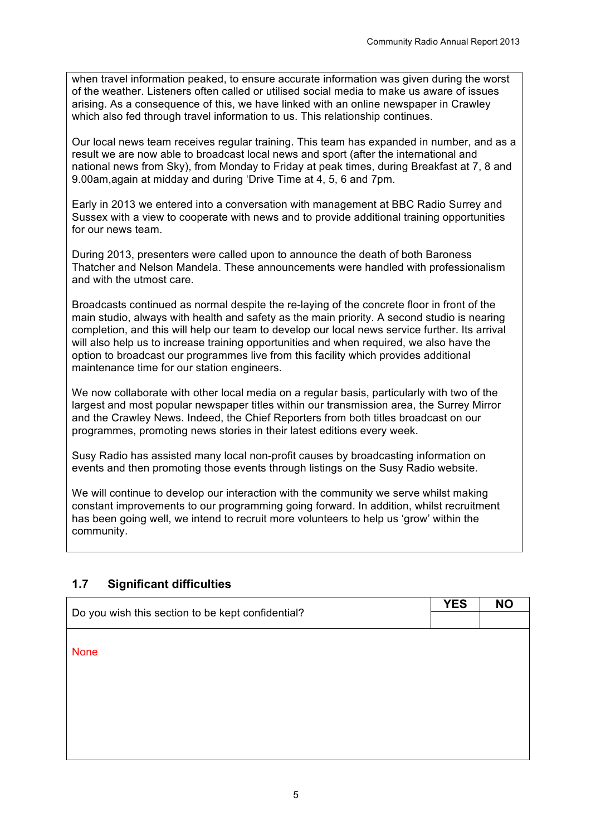when travel information peaked, to ensure accurate information was given during the worst of the weather. Listeners often called or utilised social media to make us aware of issues arising. As a consequence of this, we have linked with an online newspaper in Crawley which also fed through travel information to us. This relationship continues.

Our local news team receives regular training. This team has expanded in number, and as a result we are now able to broadcast local news and sport (after the international and national news from Sky), from Monday to Friday at peak times, during Breakfast at 7, 8 and 9.00am,again at midday and during 'Drive Time at 4, 5, 6 and 7pm.

Early in 2013 we entered into a conversation with management at BBC Radio Surrey and Sussex with a view to cooperate with news and to provide additional training opportunities for our news team.

During 2013, presenters were called upon to announce the death of both Baroness Thatcher and Nelson Mandela. These announcements were handled with professionalism and with the utmost care.

Broadcasts continued as normal despite the re-laying of the concrete floor in front of the main studio, always with health and safety as the main priority. A second studio is nearing completion, and this will help our team to develop our local news service further. Its arrival will also help us to increase training opportunities and when required, we also have the option to broadcast our programmes live from this facility which provides additional maintenance time for our station engineers.

We now collaborate with other local media on a regular basis, particularly with two of the largest and most popular newspaper titles within our transmission area, the Surrey Mirror and the Crawley News. Indeed, the Chief Reporters from both titles broadcast on our programmes, promoting news stories in their latest editions every week.

Susy Radio has assisted many local non-profit causes by broadcasting information on events and then promoting those events through listings on the Susy Radio website.

We will continue to develop our interaction with the community we serve whilst making constant improvements to our programming going forward. In addition, whilst recruitment has been going well, we intend to recruit more volunteers to help us 'grow' within the community.

## **1.7 Significant difficulties**

| Do you wish this section to be kept confidential? | <b>YES</b> | <b>NO</b> |
|---------------------------------------------------|------------|-----------|
|                                                   |            |           |
| <b>None</b>                                       |            |           |
|                                                   |            |           |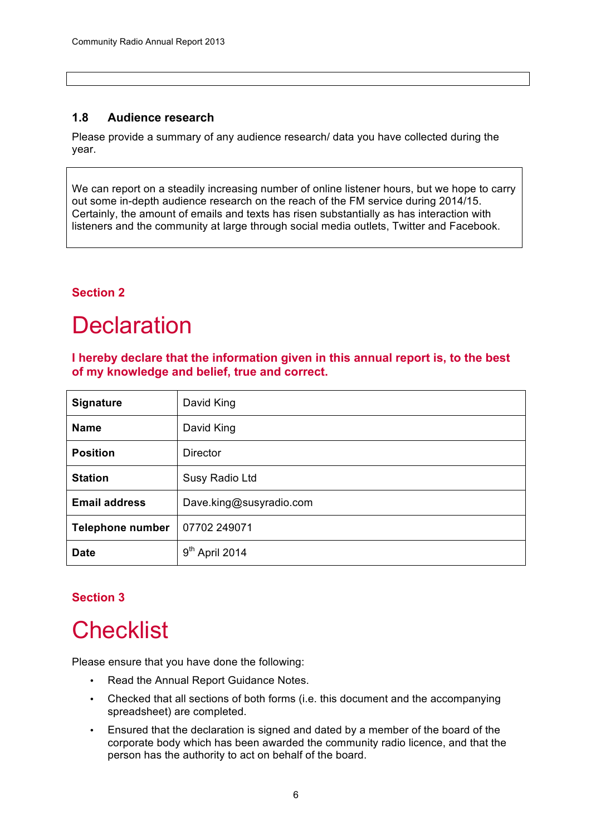## **1.8 Audience research**

Please provide a summary of any audience research/ data you have collected during the year.

We can report on a steadily increasing number of online listener hours, but we hope to carry out some in-depth audience research on the reach of the FM service during 2014/15. Certainly, the amount of emails and texts has risen substantially as has interaction with listeners and the community at large through social media outlets, Twitter and Facebook.

## **Section 2**

# **Declaration**

**I hereby declare that the information given in this annual report is, to the best of my knowledge and belief, true and correct.**

| <b>Signature</b>        | David King                    |
|-------------------------|-------------------------------|
| <b>Name</b>             | David King                    |
| <b>Position</b>         | <b>Director</b>               |
| <b>Station</b>          | Susy Radio Ltd                |
| <b>Email address</b>    | Dave.king@susyradio.com       |
| <b>Telephone number</b> | 07702 249071                  |
| <b>Date</b>             | 9 <sup>th</sup><br>April 2014 |

## **Section 3**

# **Checklist**

Please ensure that you have done the following:

- Read the Annual Report Guidance Notes.
- Checked that all sections of both forms (i.e. this document and the accompanying spreadsheet) are completed.
- Ensured that the declaration is signed and dated by a member of the board of the corporate body which has been awarded the community radio licence, and that the person has the authority to act on behalf of the board.